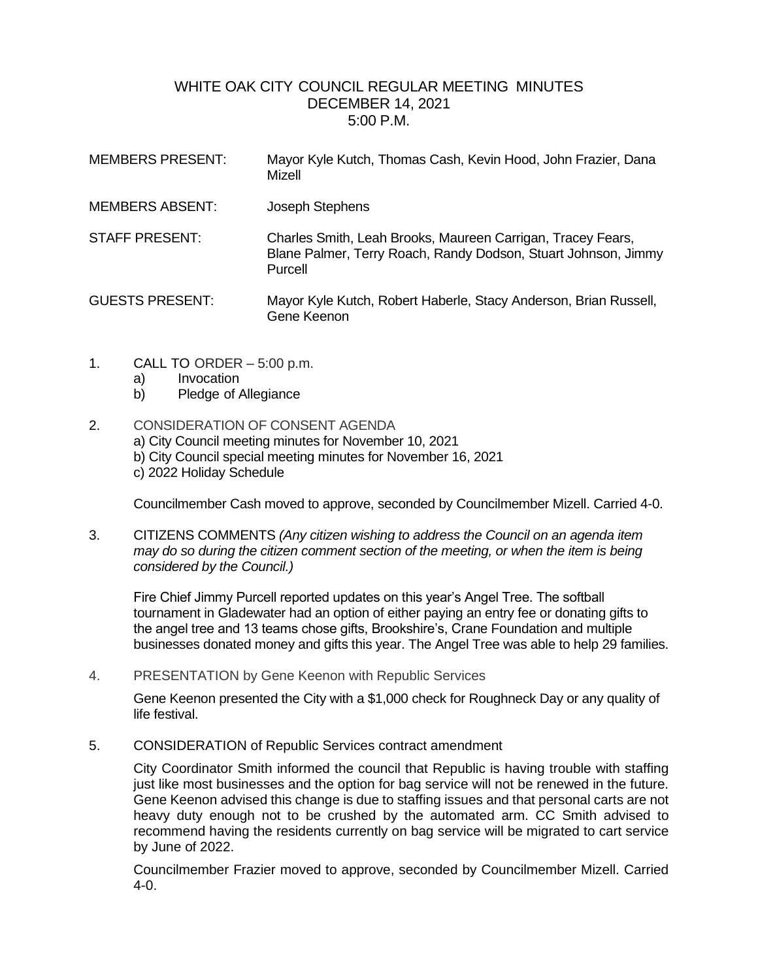## WHITE OAK CITY COUNCIL REGULAR MEETING MINUTES DECEMBER 14, 2021 5:00 P.M.

| <b>MEMBERS PRESENT:</b> | Mayor Kyle Kutch, Thomas Cash, Kevin Hood, John Frazier, Dana<br>Mizell                                                                  |
|-------------------------|------------------------------------------------------------------------------------------------------------------------------------------|
| <b>MEMBERS ABSENT:</b>  | Joseph Stephens                                                                                                                          |
| <b>STAFF PRESENT:</b>   | Charles Smith, Leah Brooks, Maureen Carrigan, Tracey Fears,<br>Blane Palmer, Terry Roach, Randy Dodson, Stuart Johnson, Jimmy<br>Purcell |
| <b>GUESTS PRESENT:</b>  | Mayor Kyle Kutch, Robert Haberle, Stacy Anderson, Brian Russell,<br>Gene Keenon                                                          |

- 1. CALL TO ORDER 5:00 p.m.
	- a) Invocation
	- b) Pledge of Allegiance
- 2. CONSIDERATION OF CONSENT AGENDA
	- a) City Council meeting minutes for November 10, 2021
	- b) City Council special meeting minutes for November 16, 2021
	- c) 2022 Holiday Schedule

Councilmember Cash moved to approve, seconded by Councilmember Mizell. Carried 4-0.

3. CITIZENS COMMENTS *(Any citizen wishing to address the Council on an agenda item may do so during the citizen comment section of the meeting, or when the item is being considered by the Council.)*

Fire Chief Jimmy Purcell reported updates on this year's Angel Tree. The softball tournament in Gladewater had an option of either paying an entry fee or donating gifts to the angel tree and 13 teams chose gifts, Brookshire's, Crane Foundation and multiple businesses donated money and gifts this year. The Angel Tree was able to help 29 families.

4. PRESENTATION by Gene Keenon with Republic Services

Gene Keenon presented the City with a \$1,000 check for Roughneck Day or any quality of life festival.

5. CONSIDERATION of Republic Services contract amendment

City Coordinator Smith informed the council that Republic is having trouble with staffing just like most businesses and the option for bag service will not be renewed in the future. Gene Keenon advised this change is due to staffing issues and that personal carts are not heavy duty enough not to be crushed by the automated arm. CC Smith advised to recommend having the residents currently on bag service will be migrated to cart service by June of 2022.

Councilmember Frazier moved to approve, seconded by Councilmember Mizell. Carried 4-0.